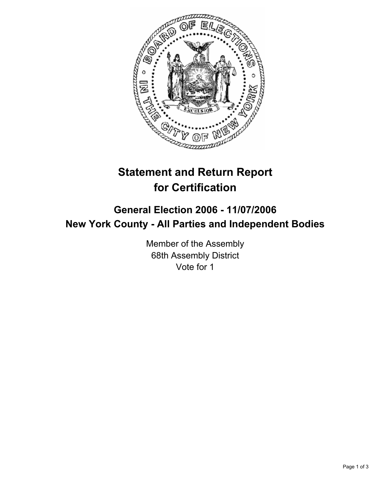

# **Statement and Return Report for Certification**

## **General Election 2006 - 11/07/2006 New York County - All Parties and Independent Bodies**

Member of the Assembly 68th Assembly District Vote for 1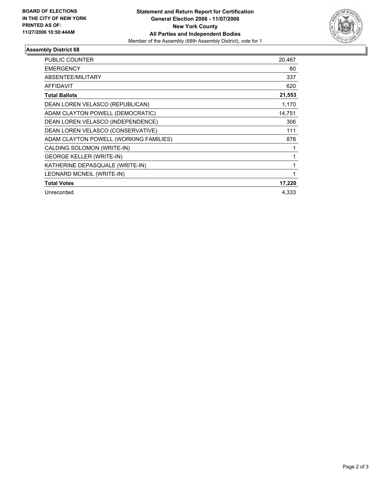

### **Assembly District 68**

| <b>PUBLIC COUNTER</b>                  | 20,467 |
|----------------------------------------|--------|
| <b>EMERGENCY</b>                       | 60     |
| ABSENTEE/MILITARY                      | 337    |
| <b>AFFIDAVIT</b>                       | 620    |
| <b>Total Ballots</b>                   | 21,553 |
| DEAN LOREN VELASCO (REPUBLICAN)        | 1,170  |
| ADAM CLAYTON POWELL (DEMOCRATIC)       | 14,751 |
| DEAN LOREN VELASCO (INDEPENDENCE)      | 306    |
| DEAN LOREN VELASCO (CONSERVATIVE)      | 111    |
| ADAM CLAYTON POWELL (WORKING FAMILIES) | 878    |
| CALDING SOLOMON (WRITE-IN)             |        |
| <b>GEORGE KELLER (WRITE-IN)</b>        |        |
| KATHERINE DEPASQUALE (WRITE-IN)        |        |
| LEONARD MCNEIL (WRITE-IN)              |        |
| <b>Total Votes</b>                     | 17,220 |
| Unrecorded                             | 4.333  |